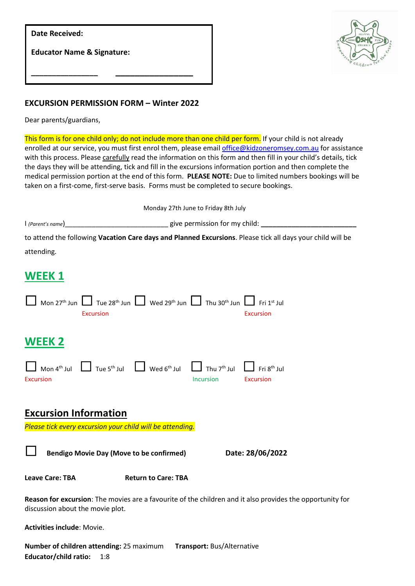| <b>Date Received:</b>                 |  |
|---------------------------------------|--|
| <b>Educator Name &amp; Signature:</b> |  |
|                                       |  |



## **EXCURSION PERMISSION FORM – Winter 2022**

Dear parents/guardians,

This form is for one child only; do not include more than one child per form. If your child is not already enrolled at our service, you must first enrol them, please emai[l office@kidzoneromsey.com.au](mailto:office@kidzoneromsey.com.au) for assistance with this process. Please carefully read the information on this form and then fill in your child's details, tick the days they will be attending, tick and fill in the excursions information portion and then complete the medical permission portion at the end of this form. **PLEASE NOTE:** Due to limited numbers bookings will be taken on a first-come, first-serve basis. Forms must be completed to secure bookings.

| Monday 27th June to Friday 8th July                                                                        |                               |  |
|------------------------------------------------------------------------------------------------------------|-------------------------------|--|
| $\mid$ (Parent's name)                                                                                     | give permission for my child: |  |
| to attend the following Vacation Care days and Planned Excursions. Please tick all days your child will be |                               |  |
| attending.                                                                                                 |                               |  |
|                                                                                                            |                               |  |
| WEEK 1                                                                                                     |                               |  |

| Mon 27 <sup>th</sup> Jun $\Box$ Tue 28 <sup>th</sup> Jun $\Box$ Wed 29 <sup>th</sup> Jun $\Box$ Thu 30 <sup>th</sup> Jun $\Box$ Fri 1 <sup>st</sup> Jul<br><b>Excursion</b><br><b>Excursion</b>          |  |  |
|----------------------------------------------------------------------------------------------------------------------------------------------------------------------------------------------------------|--|--|
| <b>WEEK 2</b>                                                                                                                                                                                            |  |  |
| Mon 4 <sup>th</sup> Jul $\Box$ Tue 5 <sup>th</sup> Jul $\Box$ Wed 6 <sup>th</sup> Jul $\Box$ Thu 7 <sup>th</sup> Jul $\Box$ Fri 8 <sup>th</sup> Jul<br><b>Excursion</b><br><b>Incursion</b><br>Excursion |  |  |
| <b>Excursion Information</b><br>Please tick every excursion your child will be attending.                                                                                                                |  |  |
| Date: 28/06/2022<br><b>Bendigo Movie Day (Move to be confirmed)</b>                                                                                                                                      |  |  |
| <b>Leave Care: TBA</b><br><b>Return to Care: TBA</b>                                                                                                                                                     |  |  |
| Reason for excursion: The movies are a favourite of the children and it also provides the opportunity for<br>discussion about the movie plot.                                                            |  |  |
| <b>Activities include: Movie.</b>                                                                                                                                                                        |  |  |

**Number of children attending:** 25 maximum **Transport:** Bus/Alternative **Educator/child ratio:** 1:8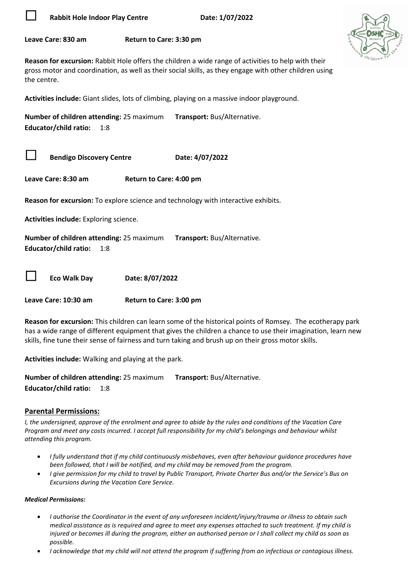

**Rabbit Hole Indoor Play Centre Date: 1/07/2022** 



**Leave Care: 830 am Return to Care: 3:30 pm**

**Reason for excursion:** Rabbit Hole offers the children a wide range of activities to help with their gross motor and coordination, as well as their social skills, as they engage with other children using the centre.

**Activities include:** Giant slides, lots of climbing, playing on a massive indoor playground.

**Number of children attending:** 25 maximum **Transport:** Bus/Alternative. **Educator/child ratio:** 1:8

**Bendigo Discovery Centre Date: 4/07/2022** 

**Leave Care: 8:30 am Return to Care: 4:00 pm**

**Reason for excursion:** To explore science and technology with interactive exhibits.

**Activities include:** Exploring science.

**Number of children attending:** 25 maximum **Transport:** Bus/Alternative. **Educator/child ratio:** 1:8

**Eco Walk Day Date: 8/07/2022**

**Leave Care: 10:30 am Return to Care: 3:00 pm**

**Reason for excursion:** This children can learn some of the historical points of Romsey. The ecotherapy park has a wide range of different equipment that gives the children a chance to use their imagination, learn new skills, fine tune their sense of fairness and turn taking and brush up on their gross motor skills.

**Activities include:** Walking and playing at the park.

**Number of children attending:** 25 maximum **Transport:** Bus/Alternative. **Educator/child ratio:** 1:8

## **Parental Permissions:**

*I, the undersigned, approve of the enrolment and agree to abide by the rules and conditions of the Vacation Care Program and meet any costs incurred. I accept full responsibility for my child's belongings and behaviour whilst attending this program.*

- *I fully understand that if my child continuously misbehaves, even after behaviour guidance procedures have been followed, that I will be notified, and my child may be removed from the program.*
- *I give permission for my child to travel by Public Transport, Private Charter Bus and/or the Service's Bus on Excursions during the Vacation Care Service.*

## *Medical Permissions:*

- *I authorise the Coordinator in the event of any unforeseen incident/injury/trauma or illness to obtain such medical assistance as is required and agree to meet any expenses attached to such treatment. If my child is injured or becomes ill during the program, either an authorised person or I shall collect my child as soon as possible.*
- *I acknowledge that my child will not attend the program if suffering from an infectious or contagious illness.*